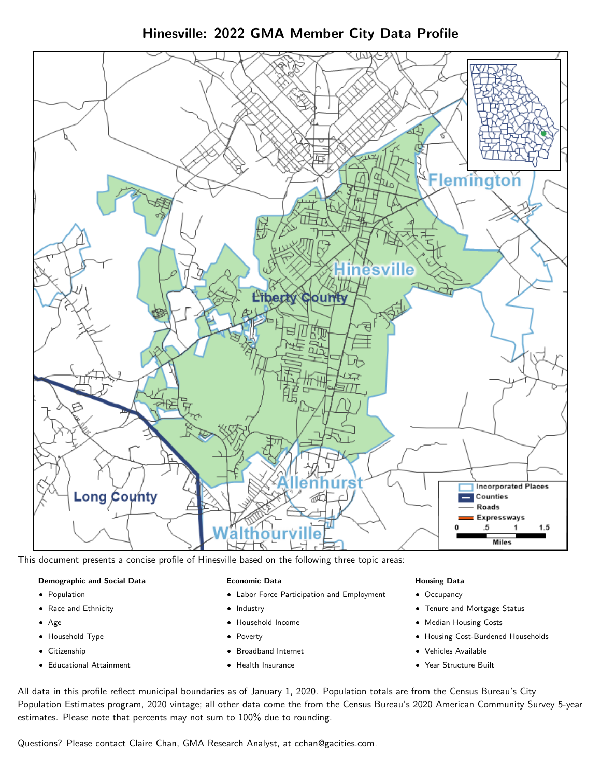# Hinesville: 2022 GMA Member City Data Profile



This document presents a concise profile of Hinesville based on the following three topic areas:

### Demographic and Social Data

- **•** Population
- Race and Ethnicity
- Age
- Household Type
- **Citizenship**
- Educational Attainment

### Economic Data

- Labor Force Participation and Employment
- Industry
- Household Income
- Poverty
- Broadband Internet
- Health Insurance

### Housing Data

- Occupancy
- Tenure and Mortgage Status
- Median Housing Costs
- Housing Cost-Burdened Households
- Vehicles Available
- Year Structure Built

All data in this profile reflect municipal boundaries as of January 1, 2020. Population totals are from the Census Bureau's City Population Estimates program, 2020 vintage; all other data come the from the Census Bureau's 2020 American Community Survey 5-year estimates. Please note that percents may not sum to 100% due to rounding.

Questions? Please contact Claire Chan, GMA Research Analyst, at [cchan@gacities.com.](mailto:cchan@gacities.com)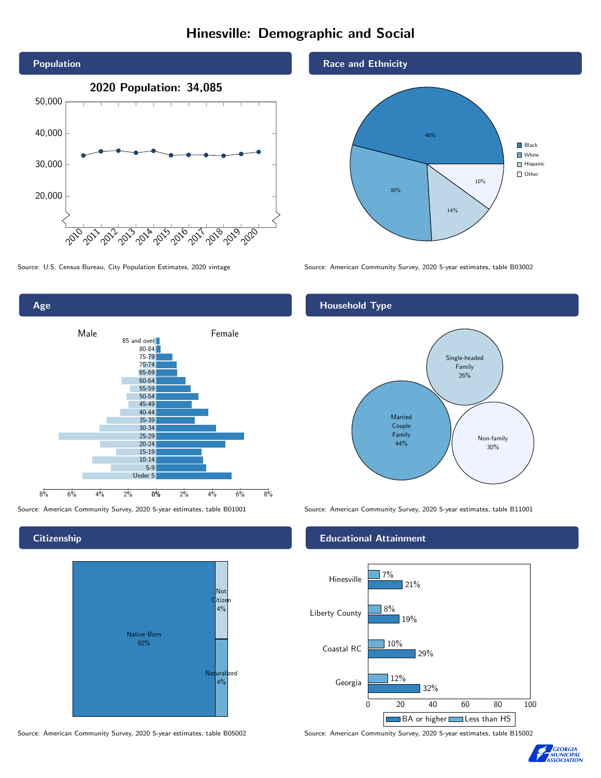# Hinesville: Demographic and Social





**Citizenship** 



Source: American Community Survey, 2020 5-year estimates, table B05002 Source: American Community Survey, 2020 5-year estimates, table B15002

Race and Ethnicity



Source: U.S. Census Bureau, City Population Estimates, 2020 vintage Source: American Community Survey, 2020 5-year estimates, table B03002

## Household Type



Source: American Community Survey, 2020 5-year estimates, table B01001 Source: American Community Survey, 2020 5-year estimates, table B11001

#### Educational Attainment



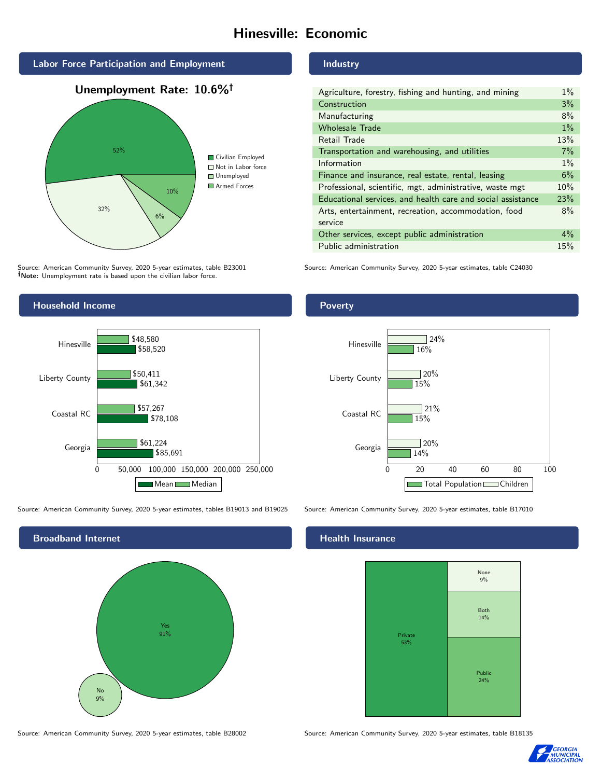# Hinesville: Economic



Source: American Community Survey, 2020 5-year estimates, table B23001 Note: Unemployment rate is based upon the civilian labor force.

#### Industry

| Agriculture, forestry, fishing and hunting, and mining      | $1\%$ |
|-------------------------------------------------------------|-------|
| Construction                                                | 3%    |
| Manufacturing                                               | 8%    |
| <b>Wholesale Trade</b>                                      | $1\%$ |
| Retail Trade                                                | 13%   |
| Transportation and warehousing, and utilities               | 7%    |
| Information                                                 | $1\%$ |
| Finance and insurance, real estate, rental, leasing         | 6%    |
| Professional, scientific, mgt, administrative, waste mgt    | 10%   |
| Educational services, and health care and social assistance | 23%   |
| Arts, entertainment, recreation, accommodation, food        | 8%    |
| service                                                     |       |
| Other services, except public administration                | $4\%$ |
| Public administration                                       | 15%   |

Source: American Community Survey, 2020 5-year estimates, table C24030



Source: American Community Survey, 2020 5-year estimates, tables B19013 and B19025 Source: American Community Survey, 2020 5-year estimates, table B17010



Poverty



## **Health Insurance**



Source: American Community Survey, 2020 5-year estimates, table B28002 Source: American Community Survey, 2020 5-year estimates, table B18135